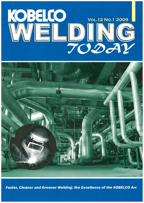



Faster, Cleaner and Greener Welding: the Excellence of the KOBELCO Arc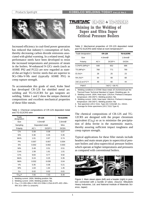

Increased efficiency in coal-fired power generation has reduced that industry's consumption of fuels, thereby decreasing carbon dioxide emissions associated with global warming. In a related trend, high performance steels have been developed to resist the increased temperatures and pressures of steam in the boilers. W-enhanced 9-12Cr steels (such as ASME P92 and P122) are now regarded as stateof-the-art high-Cr ferritic steels that are superior to 9Cr-1Mo-V-Nb steel (typically ASME P91) in creep rupture strength.

To accommodate this grade of steel, Kobe Steel has developed CR-12S for shielded metal arc welding and TG-S12CRS for gas tungsten arc welding. Tables 1 and 2 show the unique chemical compositions and excellent mechanical properties of these filler metals.

Table 1: Chemical compositions of CR-12S deposited metal and TG-S12CRS wire

| Trade<br>designation | <b>CR-12S</b>            | <b>TG-S12CRS</b> |             |
|----------------------|--------------------------|------------------|-------------|
| Size                 | $4.0 \text{mm}$ $\alpha$ | 1.6 $mm$ Ø       |             |
| Sampling             |                          | Deposited metal  | Wire        |
| Polarity             | $AC*1$                   | DCEP*2           | <b>DCEN</b> |
| $C\%$                | 0.08                     | 0.08             | 0.07        |
| Si%                  | 0.36                     | 0.35             | 0.35        |
| Mn%                  | 1.01                     | 0.97             | 0.74        |
| P%                   | 0.007                    | 0.007            | 0.004       |
| $S\%$                | 0.002                    | 0.002            | 0.003       |
| Ni%                  | 0.49                     | 0.51             | 0.51        |
| Co%                  | 1.58                     | 1.61             | 1.01        |
| Cr%                  | 9.83                     | 9.77             | 9.92        |
| Mo%                  | 0.24                     | 0.25             | 0.35        |
| Nb%                  | 0.032                    | 0.030            | 0.04        |
| V%                   | 0.35                     | 0.36             | 0.21        |
| W%                   | 1.63                     | 1.64             | 1.45        |
| Cu                   | 0.02                     | 0.02             | 0.01        |
| $Creq*3$             | 7.55                     | 7.43             | 8.40        |

1. Welding current: 160A; Welding position: flat.

2. Welding current: 140A; Welding position: flat.

3. Creq = Cr+6Si+4Mo+1.5W+11V+5Nb+1.2Sol.Al+8Ti–40C–2Mn– 4Ni–2Co–30N–Cu (mass%)

# TRUSTARC<sup>"</sup> (HHEAR & THATELARS)

**Shining in the Welding of Super and Ultra Super Critical Pressure Boilers** 

and  $TC$ - $S$ 42 $CD$  $S$  weld metal at room temperature

| and TG-STZCRS weld metal at room temperature |               |                  |     |  |  |
|----------------------------------------------|---------------|------------------|-----|--|--|
| Trade designation                            | <b>CR-12S</b> | <b>TG-S12CRS</b> |     |  |  |
| Size                                         | $4.0mm$ Ø     | 1.6 $mm$ Ø       |     |  |  |
| Polarity                                     | $AC^*2$       | <b>DCEN</b>      |     |  |  |
| 0.2%PS (MPa)*4                               | 648           | 652              | 686 |  |  |
| TS (MPa)*4                                   | 771<br>768    |                  | 790 |  |  |
| EI $(%)^*4$                                  | 26            | 25               | 23  |  |  |
| RA (%)*4                                     | 64            | 68               | 68  |  |  |
| 2vE (J) at 0°C*5                             | 40            | 60               | 44  |  |  |
|                                              |               |                  |     |  |  |

Table 2: Mechanical properties of CR-12S deposited metal

PWHT 740°C × 8h FC 1. Welding conditions in GTAW: Base metal: (F) SUS410J3 per the

Thermal Power Technical Standard of Japan; Shielding gas: Ar.

2. Welding current: 160A; Heat input: 12kJ/cm; Preheat & interpass temperature: 200-250°C; Welding position: flat.

3. Welding current: 140A; Heat input: 18kJ/cm; Preheat & interpass temperature: 200-250°C; Welding position: flat.

4. Test specimen (JIS Z 3111, Type A2): 6.0mmØ, G.L: 24mm.

5. Average for three specimens (JIS Z 3111 Type 4)

The chemical compositions of CR-12S and TG-12CRS are designed with the proper chromium equivalent  $(Cr_{eq})$  so as to minimize the precipitation of delta ferrite in the martensitic matrix, thereby assuring sufficient impact toughness and creep rupture strength.

Typical applications for these filler metals include headers and main steam pipes in supercritical pressure boilers and ultra-supercritical pressure boilers which operate at higher temperatures and pressures as compared with conventional boilers.



Figure 1: Main steam pipes (left) and a header (right) in position connected with a bundle of tubes. (Source: Mitsubishi Heavy Industries, Ltd. and National Institute of Materials Science, Japan)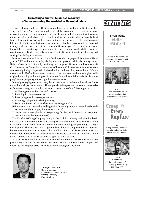#### Expecting a fruitful business recovery after overcoming the worldwide financial crisis

 Since Lehman Brothers, a US investment bank, went bankrupt in September last year, triggering a "once-in-a-hundred-years" global economic recession, the seriousness of the slump has only continued to grow. Japanese industry has not avoided economic hardship, with those enterprises dependent on exports being hit doubly hard from a decrease in sales as well as appreciation of the Japanese yen. Leading automobile and electronics manufacturers have announced that large losses are to be expected as they settle their accounts at the end of the financial year. Even though the major industrialized countries agreed on measures to boost economies and stabilize finances, conditions worldwide have only worsened, with financial turmoil accelerating and stock prices falling everywhere.

 In an environment such as this, Kobe Steel must also be prepared for a severe fiscal year in 2009 and aim at securing the highest sales possible while also strengthening Kobelco's overseas foothold by fortifying the company's financial and business position. However, as "necessity is the mother of invention," innovation may now be more forthcoming during this period of adversity than in times of economic boom. We are aware that, in 2009, all employees must be crisis-conscious, work out new plans with originality and ingenuity and push innovation forward to build a basis for the company's future prosperity and stronger business structure.

 In newly emerging countries, many brand new enterprises have achieved No. 1 status within their particular arenas. These global challengers tend to have a characteristic business strategy that emphasizes at least one or two of the following points.

- 1) Achieving competitive cost performance
- 2) Investing in human resources
- 3) Penetrating deeply into target markets
- 4) Adopting a pinpoint marketing strategy
- 5) Being ambitious and swift when entering foreign markets
- 6) Innovating with originality and ingenuity (Investing amply in research and development in order to supply innovative products)
- 7) Accepting market pluralism (Responding flexibly to differences in customers' needs and distribution structures)

 The Kobelco Welding Company Group is also a global industry with nine footholds overseas, and we intend to formulate strategies that are tailored to fit the needs of the main industries in such fields as automobile manufacturing, shipbuilding or energy development. The article in these pages on the welding of equipment related to power boilers demonstrates our awareness that in China, India and Brazil there is steady demand for improvement of infrastructure. The article promotes our "only one in the world" product and provides technical support to our customers.

 It is our sincere hope that we will overcome the present business difficulties and prosper together with our customers. We hope that you will extend your support and help us to further popularize the Kobelco brand throughout the world.



Toshiyuki Okuzumi General Manager International Operations Dept. Welding Company Kobe Steel, Ltd.

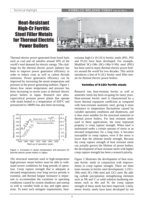# **Heat-Resistant High-Cr Ferritic Steel Filler Metals for Thermal Electric Power Boilers**



Thermal electric power generated from fossil fuels such as coal and oil satisfies around 50% of the world's total demand for electric energy. The challenge for the thermal electric power industry has been to improve power generation efficiency in order to reduce costs as well as carbon dioxide emissions. Power generation efficiency can be improved by increasing the steam temperature and pressure in the power generating turbines. Figure 1 shows how steam temperature and pressure has been increasing in recent years in thermal electric power boilers in Japan. Research into ultrasupercritical pressure power plants that operate with steam heated to a temperature of 650°C and pressurized to 34MPa has also been increasing.



Figure 1: Increases in steam temperature and pressure for thermal electric power boilers in Japan.

The structural materials used in high-temperature high-pressure steam boilers must be able to withstand severe conditions for long periods of operation. Creep rupture strength that is adequate at elevated temperatures over long service periods is essential, and thermal fatigue resistance is important to accommodate the variations in operating conditions caused by system shutdown and startup as well as variable loads in day and night operations. To meet such stringent requirements, heatresistant high-Cr (9-12Cr) ferritic steels (P91, P92 and P122) have been developed. For example, Modified 9Cr-1Mo (9Cr-1Mo-V-Nb) steel (P91) has been used in many thermal electric power boilers around the world for two decades. This article introduces a line of 9-12Cr ferritic steel filler metals for thermal electric power boilers.

#### Varieties of 9-12Cr ferritic steels

Research into heat-resistant ferritic as well as austenitic steels has been on-going for many years. Heat-resistant ferritic steel is characterized by a lower thermal expansion coefficient as compared with heat-resistant austenitic steel, giving it more resistance to temperature fluctuations caused by variable operation conditions and shutdowns, and is thus more suitable for the structural materials in thermal power boilers. For heat resistant steels used in these applications, the most important property is creep rupture strength. When steel is maintained under a certain amount of stress at an elevated temperature for a long time, it becomes susceptible to creep rupture, even if the stress is lower than the ultimate tensile strength. Because the creep rupture strength of heat resistant steels can actually govern the lifetime of power boilers, the development of heat resistant steels with higher creep rupture strength has been a research priority.

Figure 2 illustrates the development of heat resistant ferritic steels in conjunction with improvements in creep rupture strength. There are three main streams in ferritic steel development: 2.25Cr-1Mo steel, 9Cr-1Mo steel and 12Cr steel. By adding carbide precipitation strengthening elements such as Nb and V or solid solution hardening elements such as Mo and W, the creep rupture strength of these steels has been improved. Lately, newer ferritic steels have been developed by not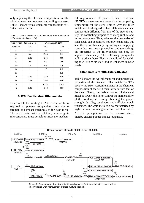only adjusting the chemical composition but also adopting new heat treatment and rolling processes. Table 1 shows typical chemical compositions of 9- 12Cr ferritic steels.

|  |                              |  | Table 1: Typical chemical compositions of heat-resistant 9- |  |
|--|------------------------------|--|-------------------------------------------------------------|--|
|  | 12Cr ferritic steels (mass%) |  |                                                             |  |

| Type of steel        | 9Cr-1Mo-V-Nb | W-enhanced 9-12Cr |                  |  |
|----------------------|--------------|-------------------|------------------|--|
| ASME std.            | T91          | T92               | T <sub>122</sub> |  |
| C                    | 0.10         | 0.07              | 0.11             |  |
| Si                   | 0.4          | 0.06              | 0.1              |  |
| Mn                   | 0.45         | 0.45              | 0.60             |  |
| Cr                   | 9.0          | 9.0               | 12.0             |  |
| Mo                   | 1.0          | 0.5               | 0.4              |  |
| W                    |              | 1.8               | 2.0              |  |
| Cu                   |              |                   | 1.0              |  |
| V                    | 0.20         | 0.20              | 0.20             |  |
| <b>N<sub>b</sub></b> | 0.08         | 0.05              | 0.06             |  |
| B                    |              | 0.004             | 0.003            |  |
| N                    | 0.05         | 0.06              | 0.06             |  |

### 9-12Cr ferritic steel filler metals

Filler metals for welding 9-12Cr ferritic steels are required to possess comparable creep rupture strength and impact toughness as the base metal. The weld metal with a relatively coarse grain microstructure must be able to meet the mechanical requirements of postweld heat treatment (PWHT) at a temperature lower than the tempering temperature for the steel. This is why the filler metal must be designed with an elaborate chemical composition different from that of the steel to satisfy the conflicting properties of creep rupture and impact toughness. Thus, whereas the properties of such steels can be tailored not only chemically but also thermomechanically, by rolling and applying special heat treatment (quenching and tempering), the properties of the filler metals can only be adjusted chemically. The following paragraphs will introduce those filler metals tailored for welding 9Cr-1Mo-V-Nb steel and W-enhanced 9-12Cr steels.

### Filler metals for 9Cr-1Mo-V-Nb steel

Table 2 shows the typical chemical and mechanical properties of the Kobelco filler metals for 9Cr-1Mo-V-Nb steel. Certain elements in the chemical composition of the weld metal differs from that of the steel. Firstly, the carbon content of the weld metal is lower; this is to control the hardenability of the weld metal, thereby obtaining the proper strength, ductility, toughness, and sufficient crack resistance. The weld metal is also characterized by higher amounts of manganese and nickel to restrict -ferrite precipitation in the microstructure, δthereby ensuring better impact toughness.



Figure 2: Development of heat-resistant low-alloy steels for thermal electric power boilers in conjunction with improvement of creep rupture strength.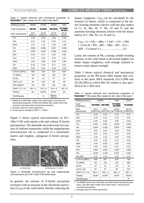| <b>Welding process</b>      | <b>SMAW</b>     | <b>GTAW</b>      | <b>GMAW</b>                 | SAW                |
|-----------------------------|-----------------|------------------|-----------------------------|--------------------|
| Trade designation           | CM-9Cb          | TG-S9Cb          | MG-S9Cb                     | PF-200S/<br>US-9Cb |
| AWS classification          | A5.5<br>E9016-G | A5.28<br>ER90S-G | A5.28<br>ER90S-G            | A5.23<br>F10PZ-    |
| $C\%$                       | 0.06            | 0.08             | 0.08                        | 0.06               |
| Si%                         | 0.31            | 0.16             | 0.35                        | 0.12               |
| Mn%                         | 1.51            | 1.01             | 1.59                        | 1.58               |
| P%                          | 0.006           | 0.006            | 0.007                       | 0.008              |
| S%                          | 0.003           | 0.005            | 0.008                       | 0.004              |
| Ni%                         | 0.94            | 0.71             | 0.45                        | 0.55               |
| Cr%                         | 9.11            | 9.01             | 8.79                        | 8.31               |
| Mo%                         | 1.06            | 0.90             | 0.88                        | 0.88               |
| $V\%$                       | 0.18            | 0.18             | 0.17                        | 0.21               |
| Nb%                         | 0.03            | 0.04             | 0.02                        | 0.03               |
| 0.2%YS (MPa)                | 600             | 700              | 570                         | 580                |
| TS (MPa)                    | 750             | 780              | 700                         | 710                |
| EI(%)                       | 25              | 24               | 27                          | 24                 |
| vE0°C (J)*2                 | 81              | 240              | 98                          | 68                 |
| CRS (MPa)*3                 | 140             | 155              | 135                         | 140                |
| PWHT $(^{\circ}C \times h)$ | $750 \times 5$  | $740 \times 8$   | $740 \times 8$              | $740 \times 8$     |
| Polarity                    | АC              | <b>DCEN</b>      | <b>DCEP</b>                 | АC                 |
| Shielding gas               |                 | Ar               | 95%Ar+<br>5%CO <sub>2</sub> |                    |

Table 2: Typical chemical and mechanical properties of TRUSTARC™ filler metals for 9Cr-1Mo-V-Nb steel\*1

1. SMAW and SAW filler metals show weld metal's chemical and mechanical properties. GTAW and GMAW filler metals show wire chemistry and weld metal mechanical properties.

2. Average values for three specimens.

3. Creep rupture strength at 600°C × 1000h.

Figure 3 shows typical microstructures of 9Cr- $1$ Mo-V-Nb weld metals with and without δ-ferrite precipitation. The desirable microstructure (a) consists of uniform martensite, while the inappropriate microstructure (b) is comprised of a martensitic matrix and brighter, polygonal δ-ferrite precipitates.



Figure 3: Desirable microstructure (a) and inappropriate microstructure (b) of 9Cr-1Mo-V-Nb weld metal.

In general, the amount of  $\delta$ -ferrite precipitate increases with an increase in the chromium equivalent (Creq) of the weld metal, thereby reducing the impact toughness. Creq can be calculated by the formula (1) below, which is composed of the ferrite forming elements (shown with the plus index) of Cr, Si, Mo, W, V, Nb, Al and Ti and the austenite forming elements (shown with the minus index) of C, Mn, Ni, Co, N and Cu.

| $Creq = Cr + 6Si + 4Mo + 1.5W + 11V + 5Nb$    |  |
|-----------------------------------------------|--|
| $+ 12$ sol.Al + 8Ti – 40C – 2Mn – 4Ni – 2Co – |  |
|                                               |  |

Lastly, the content of Nb, a strong carbide forming element, in the weld metal is decreased slightly for better impact toughness, with enough retained to ensure creep rupture strength.

Table 3 shows typical chemical and mechanical properties of the B9-series filler metals that conform to the latest AWS standards (A5.5:2006 and A5.28:2005) in which Mn+Ni content is also specified to be 1.50% max.

Table 3: Typical chemical and mechanical properties of TRUSTARC™ B9-series filler metals for 9Cr-1Mo-V-Nb steel\*1

| Welding process              |                  | <b>SMAW</b>      | SAW                               | <b>GTAW</b>              |
|------------------------------|------------------|------------------|-----------------------------------|--------------------------|
| Trade<br>designation         | <b>CM-96B9</b>   | <b>CM-95B9</b>   | <b>PF-90B9/</b><br><b>US-90B9</b> | <b>TG-S90B9</b>          |
| <b>AWS</b><br>classification | A5.5<br>E9016-B9 | A5.5<br>E9015-B9 | A5.23<br>F9PZ-EB9-B9              | A5.28<br><b>ER90S-B9</b> |
| $C\%$                        | 0.10             | 0.10             | 0.10                              | 0.11                     |
| Si%                          | 0.19             | 0.22             | 0.19                              | 0.24                     |
| Mn%                          | 0.85             | 0.84             | 0.85                              | 0.69                     |
| P%                           | 0.007            | 0.007            | 0.004                             | 0.004                    |
| S%                           | 0.004            | 0.002            | 0.004                             | 0.004                    |
| Ni%                          | 0.52             | 0.51             | 0.48                              | 0.53                     |
| Cr%                          | 9.01             | 8.94             | 8.57                              | 8.91                     |
| Mo%                          | 1.05             | 1.02             | 0.95                              | 0.94                     |
| $V\%$                        | 0.24             | 0.23             | 0.21                              | 0.23                     |
| Nb%                          | 0.04             | 0.037            | 0.04                              | 0.05                     |
| Cu%                          | 0.03             | 0.02             | 0.01                              | 0.01                     |
| Al%                          | 0.002            | 0.002            | 0.005                             | 0.003                    |
| $N\%$                        | 0.038            | 0.039            | 0.037                             | 0.042                    |
| Mn+Ni%                       | 1.37             | 1.35             | 1.33                              | 1.22                     |
| 0.2%YS (MPa)                 | 608              | 597              | 618                               | 706                      |
| TS (MPa)                     | 741              | 728              | 740                               | 809                      |
| EI(%)                        | 22               | 22               | 23                                | 22                       |
| vE0°C (J)*2                  | 65               | 97               | 59                                | 222                      |
| PWHT (°C x h)                | $760 \times 2$   | $760 \times 2$   | $760 \times 2$                    | $760 \times 2$           |
| Polarity                     | <b>DCEP</b>      | <b>DCEP</b>      | <b>DCEP</b>                       | <b>DCEN</b>              |
| Shielding gas                |                  |                  |                                   | Ar                       |

1. TG-S90B9 shows wire chemistry and weld metal mechanical properties, and other filler metals show weld metal 's chemical and mechanical properties.

2. Average values for three specimens.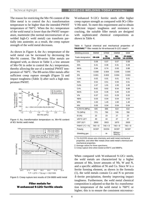The reason for restricting the Mn+Ni content of the filler metal is to control the Ac1 transformation temperature to be higher than the intended PWHT temperature of 760°C. When the Ac1 temperature of the weld metal is lower than the PWHT temperature, martensite (the normal microstructure of aswelded high-Cr weld metal) can transform partially into austenite; as a result, the creep rupture strength of the weld metal decreases.

As shown in Figure 4, the Ac1 temperature of the weld metal can be increased by decreasing the Mn+Ni content. The B9-series filler metals are designed with, as shown in Table 3, a low amount of Mn+Ni in order to control the Ac1 temperature, thereby allowing the use of a nominal PWHT temperature of 760°C. The B9-series filler metals offer sufficient creep rupture strength (Figure 5) and impact toughness (Table 3) after such a high temperature PWHT.



Figure 4: Ac1 transformation temperature vs. Mn+Ni content of 9Cr ferritic weld metal.



Figure 5: Creep rupture test results of CM-96B9 weld metal

Filler metals for W-enhanced 9-12Cr ferritic steels W-enhanced 9-12Cr ferritic steels offer higher creep rupture strength as compared with 9Cr-1Mo-V-Nb steel. To meet this requirement and to obtain sufficient impact toughness and resistance to cracking, the suitable filler metals are designed with sophisticated chemical compositions as shown in Table 4.

Table 4: Typical chemical and mechanical properties of TRUSTARC™ filler metals for W-enhanced 9-12Cr steel\*1

| Welding process   | <b>SMAW</b>    | <b>GTAW</b>          | <b>GMAW</b>                 | SAW                          |
|-------------------|----------------|----------------------|-----------------------------|------------------------------|
| Trade designation | <b>CR-12S</b>  | TG-<br><b>S12CRS</b> | MG-<br><b>S12CRS</b>        | <b>PF-200S/</b><br>US-12CRSD |
| $C\%$             | 0.08           | 0.07                 | 0.07                        | 0.08                         |
| Si%               | 0.41           | 0.36                 | 0.31                        | 0.28                         |
| Mn%               | 0.94           | 0.74                 | 0.93                        | 0.88                         |
| P%                | 0.008          | 0.004                | 0.005                       | 0.005                        |
| S%                | 0.001          | 0.003                | 0.004                       | 0.003                        |
| Cu%               | 0.02           | 0.01                 | 0.01                        | 0.01                         |
| Ni%               | 0.52           | 0.51                 | 0.50                        | 0.51                         |
| Co%               | 1.57           | 1.01                 | 1.50                        | 1.00                         |
| Cr%               | 9.62           | 9.92                 | 9.54                        | 9.88                         |
| Mo%               | 0.23           | 0.35                 | 0.40                        | 0.20                         |
| $V\%$             | 0.37           | 0.21                 | 0.29                        | 0.20                         |
| Nb%               | 0.03           | 0.04                 | 0.04                        | 0.03                         |
| W%                | 1.63           | 1.45                 | 1.60                        | 1.40                         |
| N%                | 0.05           | 0.04                 | 0.04                        | 0.04                         |
| 0.2%YS (MPa)      | 645            | 686                  | 619                         | 610                          |
| TS (MPa)          | 771            | 790                  | 745                         | 780                          |
| EI(%)             | 22             | 23                   | 27                          | 23                           |
| vE0°C (J)*2       | 40             | 44                   | 47                          | 37                           |
| $CRT(h)*3$        | 2650           | 3915                 | 1670                        | 2635                         |
| PWHT (°C x h)     | $740 \times 8$ | $740 \times 8$       | $740 \times 8$              | $745 \times 8$               |
| Polarity          | <b>DCEP</b>    | <b>DCEN</b>          | <b>DCEP</b>                 | <b>DCEP</b>                  |
| Shielding gas     |                | Ar                   | 95%Ar+<br>5%CO <sub>2</sub> |                              |

1. TG-S12CRS shows wire chemistry and weld metal mechanical properties, and other filler metals show weld metal's chemical and mechanical properties.

2. Average values for three specimens.

3. Creep rupture time when tested at 650°C and 98MPa.

When compared with W-enhanced 9-12Cr steels, the weld metals are characterized by a higher amount of Mn, lower amounts of Nb, W and N, and a specific addition of Ni and Co. Since W is a ferrite forming element, as shown in the formula (1), the weld metals contain Co and N to prevent -ferrite precipitation, thereby improving impact δtoughness. Furthermore, the weld metal chemical composition is adjusted so that the Ac1 transformation temperature of the weld metal is 760°C or higher; this is to ensure the consistent microstruc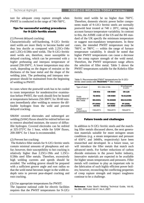ture for adequate creep rupture strength when PWHT is conducted in the range of 740-760°C.

## Tips for successful welding procedures for 9-12Cr ferritic steels

(1) Prevent delayed cracking:

Characteristically self-hardening, 9-12Cr ferritic steel welds are more likely to become harder and thus less ductile as compared with 2.25Cr-1Mo and 1.25Cr-0.5Mo steel welds. The 9-12Cr ferritic steel welds are, therefore, more susceptible to delayed cracking, which can be prevented with a higher preheating and interpass temperature of around 250-350°C. A lower temperature may also work, depending on the degree of restraint or the thickness of the base metal and the shape of the welding joint. The preheating and interpass temperature should be maintained from the beginning of welding to PWHT.

In cases where the postweld work has to be cooled to room temperature for nondestructive examination before PWHT, the work should first be heated at temperatures between 250-300°C for 30-60 minutes immediately after welding to remove the diffusible hydrogen from the weld and prevent delayed cracking.

SMAW covered electrodes and submerged arc welding (SAW) fluxes should be redried before use to remove absorbed moisture, the source of diffusible hydrogen. Covered electrodes can be redried at 325-375°C for 1 hour, while for SAW fluxes, 200-300°C for 1 hour is recommended.

(2) Prevent hot cracking:

 The Kobelco filler metals for 9-12Cr ferritic steels contain minimal amounts of phosphorus and sulfur; however, their susceptibility to hot cracking is relatively higher than 2.25Cr-1Mo and 1.25Cr-0.5Mo steel filler metals. Therefore, excessively high welding currents and speeds should be avoided. The welding groove should be prepared with a sufficient groove angle and root radius so that the weld metal becomes larger in the width-todepth ratio to prevent pear-shaped cracking and root cracking.

(3) Use appropriate temperatures for PWHT:

The Japanese national code for electric facilities requires that the PWHT temperatures for 9-12Cr ferritic steel welds be no higher than 760°C. Therefore, domestic electric power boiler components made of 9-12Cr ferritic steels are normally postweld heat treated at 740  $\pm$  20 $^{\circ}$ C, taking into account furnace temperature variability. In contrast to this, the ASME code of the US and the BS standard of the UK specify the minimum temperature or suggest non-mandatory temperatures. In these cases, the intended PWHT temperature may be  $760^{\circ}$ C or  $780^{\circ}$ C — within the range of furnace temperature variability. It should be noted that higher PWHT temperatures can cause a decrease in the creep rupture strength of the weld metal. Therefore, the PWHT temperature range affects the selection of filler metal. Table 5 shows the PWHT temperatures suitable for the Kobelco filler metals.

Table 5: Recommended PWHT temperatures for 9-12Cr ferritic steel welds with TRUSTARC™ filler metals

| Type of steel                           | 9Cr-1Mo-V-Nb              | W-enhanced<br>9-12Cr       |                                     |
|-----------------------------------------|---------------------------|----------------------------|-------------------------------------|
|                                         | CM-9Cb                    | <b>CM-96B9</b>             | <b>CR-12S</b>                       |
| Trade<br>designation of<br>filler metal | TG-S9Cb                   | <b>TG-S12CRS</b>           |                                     |
|                                         | <b>MG-S9Cb</b>            | <b>TG-S90B9</b>            | MG-S12CRS                           |
|                                         | <b>PF-200S/</b><br>US-9Cb | PF-90B9/<br><b>US-90B9</b> | <b>PF-200S/</b><br><b>US-12CRSD</b> |
| <b>PWHT</b><br>temperature              | 740±20°C                  | 760±20°C                   | 760±20°C                            |

### Future trends and challenges

In addition to 9-12Cr ferritic steels and the matching filler metals discussed above, the next generation materials suitable for more stringent steam conditions (e.g. a steam temperature and pressure of 650°C and 34MPa, respectively) have been researched and developed. In a future issue, we will introduce the filler metals that match such advanced steels. For further reductions of carbon dioxide emissions in the power boiler industry, innovative materials are expected to be available for higher steam temperatures and pressures. Filler metals will continue to play an important role in the fabrication of such highly efficient power boilers; however, reconciling the conflicting properties of creep rupture strength and impact toughness continue to be a challenge.

Reference: Kobe Steel's Welding Technical Guide, Vol.43, No.394, 2003 and Vol.47, No.4, 2007.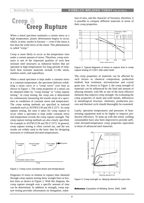

When a metal specimen maintains a certain stress at a high temperature, plastic deformation begins to occur, which, in time, results in fracture — even if the stress is less than the yield stress of the metal. This phenomenon is called "creep."

Creep is more likely to occur as the temperature rises under a certain amount of stress. Therefore, creep resistance is one of the important qualities of such heat resistant steel structures as industrial boilers that are operated at high temperatures for long periods of time. Such heat resistant materials include Cr-Mo steels, stainless steels, and superalloys.

When a metal specimen is kept under a constant stress at a constant temperature, the specimen deforms exhibiting a strain curve or a "creep curve" over time as shown in Figure 1. The creep properties of a metal can be obtained either by "creep testing" or "creep rupture testing." In creep testing, the creep rate is determined by continuously measuring the tensile strain of a specimen in conditions of constant stress and temperature. The creep testing methods are specified in national standards such as ASTM E139 and JIS Z 2271. In creep rupture testing, the time it takes for creep rupture to occur when a specimen is kept under constant stress and temperature reveals the creep rupture strength. The creep rupture testing methods are also clearly specified, for example in ASTM E139 and JIS Z 2272. In general, creep rupture testing is often carried out, and the test results are widely used as the basic data for designing structures to withstand elevated temperatures.



Figure 1: Creep curve (constant stress and temperature)

Diagrams of stress in relation to rupture time obtained through creep rupture testing show straight lines or broken lines as shown in Figure 2. With this diagram, the creep rupture strength over a specific amount of time can be determined. In addition to strength, creep rupture testing provides information on elongation, reduction of area, and the character of fractures; therefore, it is possible to compare different materials in terms of their creep properties.



Figure 2: Typical diagrams of stress to rupture time in creep rupture testing of 2.25Cr-1Mo weld metal.

The creep properties of materials can be affected by such factors as chemical composition, production method, heat treatment, microstructure and crystal grain size. As shown in Figure 3, the creep strength of materials can be influenced by the kind and amount of alloying element, with Mo as one of the most effective elements that improve creep strength. On evaluating the creep properties of steels and weld metals, differences in metallurgical structure, chemistry, production process and thermal cycle should thoroughly be examined.

Lately, operation temperatures and pressures of heatresisting equipment tend to be higher to improve production efficiency. To keep up with this trend, welding consumables have also been improved to provide sufficient elevated-temperature creep properties equivalent to those of advanced steel materials.



Figure 3: Creep strength vs. alloying element for pure iron.

Reference: Exposition of Welding Terms, SWS, 1999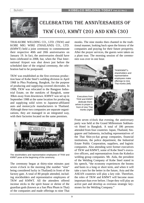

# CELEBRATING THE ANNIVERSARIES OF TKW (40), KMWT (20) AND KWS (30)

THAI-KOBE WELDING CO., LTD. (TKW) and KOBE MIG WIRE (THAILAND) CO., LTD. (KMWT) held a joint ceremony to commemorate their respective 40th and 20th anniversaries on January 19. In fact, the anniversaries should have been celebrated in 2008, but, when the Thai International Airport was shut down just before the scheduled date of the original ceremony, the celebration had to be postponed.

TKW was established as the first overseas production base of Kobe Steel's welding division in April 1968 in Phra Pradaeng, Bangkok, for the purpose of producing and supplying covered electrodes. In 1988, TKW was relocated to the Bangpoo Industrial Estate, on the outskirts of Bangkok, some 30km away from downtown. KMWT was set up in September 1988 at the same location for producing and supplying solid wires to Japanese-affiliated auto and motorcycle manufacturers in Thailand. Although these two companies are separate organizations, they are managed in an integrated way, with their factories located on the same premises.



The stockholders and representative employees of TKW and KMWT pose at the beginning of the ceremony.

The ceremony began at thirty-nine minutes past seven o'clock in the morning (the number "nine" being considered lucky in Thailand) in front of the factory gate. A total of 80 people attended, including stockholders and representative employees of TKW and KMWT. All the attendees offered incense sticks to the spirit house or shrine of the guardian gods (known as a San Phra Phum in Thai) of the companies and made offerings to nine Thai

monks. The nine monks then chanted in the traditional manner, looking back upon the history of the companies and praying for their future prosperity. After the prayer services, the guests were taken on a plant tour. The morning session of the ceremonies was over in one hour.



TKW/KMWT's shareholders and representative employees make offerings to nine Thai monks (left)

Executives from TKW and KMWT dedicate themselves to prayer in front of nine Thai monks (right)



From seven o'clock that evening, the anniversary party was held at the Grand Millennium Sukhumvit Hotel in Bangkok. A total of 186 persons attended from four countries: Japan, Thailand, Singapore and Indonesia, including representatives of the Thai Shin-yo-kai group companies, financial institutions, the police department, the Industrial Estate Public Corporation, suppliers, and logistic companies. Also attending were former executives of TKW and KMWT, some of Kobe Steel's executive officers, and representatives from the Kobelco welding group companies. Mr. Aida, the president of the Welding Company of Kobe Steel stated in his speech, "the economy experiences the booms and busts in a long or short term, and when it will take a turn for the better in the future, Asia and the ASEAN countries will play a key role. Therefore, the roles of TKW and KMWT will become more important than ever before. I hope they will play an active part and develop as overseas strategic keystones for the Welding Company."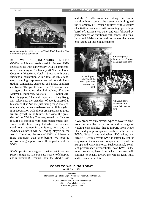

A commemorative gift is given to TKW/KMWT from the Thai Shin-yo-kai group companies.

KOBE WELDING (SINGAPORE) PTE. LTD. (KWS), which was established in January 1979, celebrated its 30th anniversary with a commemorative ceremony on 15 January 2009 at the Grand Copthorne Waterfront Hotel in Singapore. It was a substantial celebration with a total of 107 attendees, including representatives of stockholders, trading companies, agencies, end users, suppliers and banks. The guests came from 10 countries and 1 region, including the Philippines, Vietnam, Malaysia, Indonesia, Australia, UAE, Saudi Arabia, Singapore, Thailand, Japan and Hong Kong. Mr. Takayama, the president of KWS, stressed in his speech that "we are just facing the global economic crisis, but we are determined to fight against it in cooperation with all our great partners to grasp fruitful growth in the future." Mr. Aida, the president of the Welding Company stated that "we are required to continue with hard management decisions for the time being, but when the business conditions improve in the future, Asia and the ASEAN countries will be leading players in the world. Therefore, the role of KWS will become more important than ever before. We hope to receive strong support from all the partners of the KWS.

KWS operates in a region so wide that it encompasses Singapore (the Far East's center of shipping and information), Oceania, India, the Middle East, and the ASEAN countries. Taking this central position into account, the ceremony highlighted the "Harmony of Diverse Cultures" with a variety of activities that started with smashing open a large barrel of Japanese rice wine, and was followed by performances of traditional folk dances of China, India and Malaysia, as well as games that were enjoyed by all those in attendance.



KWS produces only several types of covered electrode but supplies its territories with a range of welding consumables that it imports from Kobe Steel and group companies, such as solid wires, FCWs, SAW fluxes and wires, TIG wires, and MIG/MAG wires. While KWS is staffed by just 50 employees, its sales are comparable to KWE in Europe and KWK in Korea. Such continual, excellent performance demonstrates how KWS is the most promising base from which business will continue to expand toward the Middle East, India and Oceania in the future.

#### KOBELCO WELDING TODAY Vol.12 No.1 2009

Publisher: International Operations Dept., Welding Company, Kobe Steel, Ltd. Editor: KOBELCO WELDING TODAY Editorial Staff URL: http/www.kobelco.co.jp E-mail: iod@kobelco.com